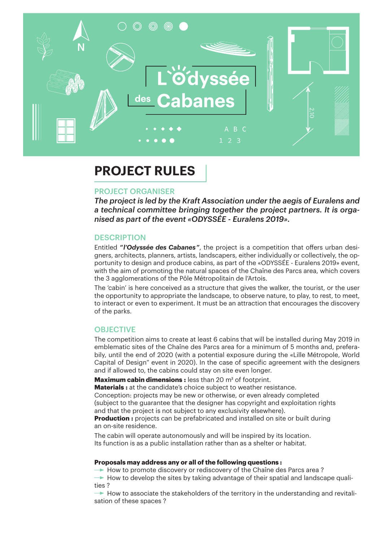

## **PROJECT RULES**

## PROJECT ORGANISER

*The project is led by the Kraft Association under the aegis of Euralens and a technical committee bringing together the project partners. It is organised as part of the event «ODYSSÉE - Euralens 2019».*

## **DESCRIPTION**

Entitled *" l'Odyssée des Cabanes "*, the project is a competition that offers urban designers, architects, planners, artists, landscapers, either individually or collectively, the opportunity to design and produce cabins, as part of the «ODYSSÉE - Euralens 2019» event, with the aim of promoting the natural spaces of the Chaîne des Parcs area, which covers the 3 agglomerations of the Pôle Métropolitain de l'Artois.

The 'cabin' is here conceived as a structure that gives the walker, the tourist, or the user the opportunity to appropriate the landscape, to observe nature, to play, to rest, to meet, to interact or even to experiment. It must be an attraction that encourages the discovery of the parks.

## **OBJECTIVE**

The competition aims to create at least 6 cabins that will be installed during May 2019 in emblematic sites of the Chaîne des Parcs area for a minimum of 5 months and, preferabily, until the end of 2020 (with a potential exposure during the «Lille Métropole, World Capital of Design" event in 2020). In the case of specific agreement with the designers and if allowed to, the cabins could stay on site even longer.

**Maximum cabin dimensions :** less than 20 m² of footprint.

**Materials :** at the candidate's choice subject to weather resistance. Conception: projects may be new or otherwise, or even already completed (subject to the guarantee that the designer has copyright and exploitation rights and that the project is not subject to any exclusivity elsewhere). **Production :** projects can be prefabricated and installed on site or built during an on-site residence.

The cabin will operate autonomously and will be inspired by its location. Its function is as a public installation rather than as a shelter or habitat.

## **Proposals may address any or all of the following questions :**

 $\rightarrow$  How to promote discovery or rediscovery of the Chaîne des Parcs area?

 $\rightarrow$  How to develop the sites by taking advantage of their spatial and landscape qualities ?

 $\rightarrow$  How to associate the stakeholders of the territory in the understanding and revitalisation of these spaces ?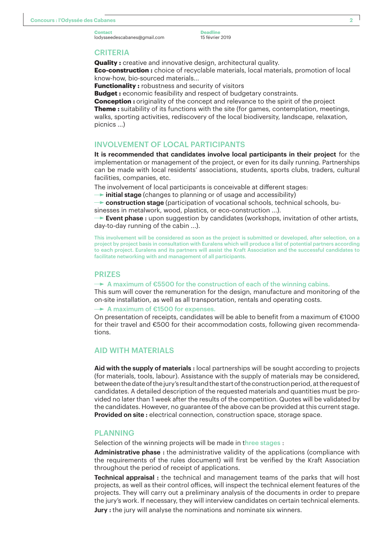**Deadline** 15 février 2019

#### **CRITERIA**

**Quality**: creative and innovative design, architectural quality. **Eco-construction :** choice of recyclable materials, local materials, promotion of local know-how, bio-sourced materials...

**Functionality :** robustness and security of visitors

**Budget :** economic feasibility and respect of budgetary constraints.

**Conception :** originality of the concept and relevance to the spirit of the project **Theme :** suitability of its functions with the site (for games, contemplation, meetings, walks, sporting activities, rediscovery of the local biodiversity, landscape, relaxation, picnics ...)

## INVOLVEMENT OF LOCAL PARTICIPANTS

**It is recommended that candidates involve local participants in their project** for the implementation or management of the project, or even for its daily running. Partnerships can be made with local residents' associations, students, sports clubs, traders, cultural facilities, companies, etc.

The involvement of local participants is conceivable at different stages:

**initial stage** (changes to planning or of usage and accessibility)

**construction stage** (participation of vocational schools, technical schools, bu-

sinesses in metalwork, wood, plastics, or eco-construction ...).

**Event phase :** upon suggestion by candidates (workshops, invitation of other artists, day-to-day running of the cabin ...).

This involvement will be considered as soon as the project is submitted or developed, after selection, on a project by project basis in consultation with Euralens which will produce a list of potential partners according to each project. Euralens and its partners will assist the Kraft Association and the successful candidates to facilitate networking with and management of all participants.

#### PRIZES

 $\rightarrow$  A maximum of €5500 for the construction of each of the winning cabins.

This sum will cover the remuneration for the design, manufacture and monitoring of the on-site installation, as well as all transportation, rentals and operating costs.

A maximum of  $£1500$  for expenses.

On presentation of receipts, candidates will be able to benefit from a maximum of €1000 for their travel and €500 for their accommodation costs, following given recommendations.

## AID WITH MATERIALS

**Aid with the supply of materials :** local partnerships will be sought according to projects (for materials, tools, labour). Assistance with the supply of materials may be considered, between the date of the jury's result and the start of the construction period, at the request of candidates. A detailed description of the requested materials and quantities must be provided no later than 1 week after the results of the competition. Quotes will be validated by the candidates. However, no guarantee of the above can be provided at this current stage. **Provided on site :** electrical connection, construction space, storage space.

#### PLANNING

Selection of the winning projects will be made in three stages :

**Administrative phase :** the administrative validity of the applications (compliance with the requirements of the rules document) will first be verified by the Kraft Association throughout the period of receipt of applications.

**Technical appraisal :** the technical and management teams of the parks that will host projects, as well as their control offices, will inspect the technical element features of the projects. They will carry out a preliminary analysis of the documents in order to prepare the jury's work. If necessary, they will interview candidates on certain technical elements.

**Jury**: the jury will analyse the nominations and nominate six winners.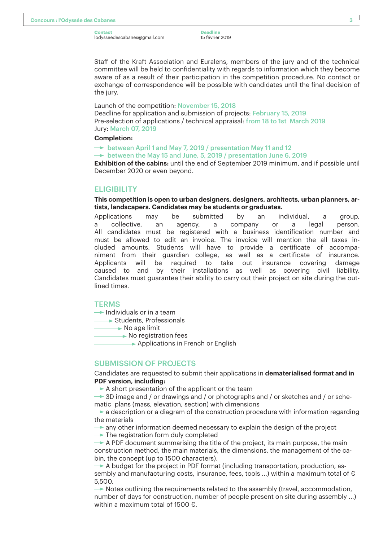**Deadline** 15 février 2019

Staff of the Kraft Association and Euralens, members of the jury and of the technical committee will be held to confidentiality with regards to information which they become aware of as a result of their participation in the competition procedure. No contact or exchange of correspondence will be possible with candidates until the final decision of the jury.

Launch of the competition: November 15, 2018

Deadline for application and submission of projects: February 15, 2019 Pre-selection of applications / technical appraisal: from 18 to 1st March 2019 Jury: March 07, 2019

#### **Completion:**

 $\rightarrow$  between April 1 and May 7, 2019 / presentation May 11 and 12

 $\rightarrow$  between the May 15 and June, 5, 2019 / presentation June 6, 2019

**Exhibition of the cabins:** until the end of September 2019 minimum, and if possible until December 2020 or even beyond.

#### **ELIGIBILITY**

#### **This competition is open to urban designers, designers, architects, urban planners, artists, landscapers. Candidates may be students or graduates.**

Applications may be submitted by an individual, a group, a collective, an agency, a company or a legal person. All candidates must be registered with a business identification number and must be allowed to edit an invoice. The invoice will mention the all taxes included amounts. Students will have to provide a certificate of accompaniment from their guardian college, as well as a certificate of insurance. Applicants will be required to take out insurance covering damage caused to and by their installations as well as covering civil liability. Candidates must guarantee their ability to carry out their project on site during the outlined times.

#### **TERMS**

 $\rightarrow$  Individuals or in a team

Students, Professionals

 $\rightarrow$  No age limit

No registration fees

Applications in French or English

## SUBMISSION OF PROJECTS

Candidates are requested to submit their applications in **dematerialised format and in PDF version, including:**

 $\rightarrow$  A short presentation of the applicant or the team

→ 3D image and / or drawings and / or photographs and / or sketches and / or schematic plans (mass, elevation, section) with dimensions

 $\rightarrow$  a description or a diagram of the construction procedure with information regarding the materials

 $\rightarrow$  any other information deemed necessary to explain the design of the project

 $\rightarrow$  The registration form duly completed

 $\rightarrow$  A PDF document summarising the title of the project, its main purpose, the main construction method, the main materials, the dimensions, the management of the cabin, the concept (up to 1500 characters).

 $\rightarrow$  A budget for the project in PDF format (including transportation, production, assembly and manufacturing costs, insurance, fees, tools ...) within a maximum total of € 5,500.

▶ Notes outlining the requirements related to the assembly (travel, accommodation, number of days for construction, number of people present on site during assembly ...) within a maximum total of 1500  $\epsilon$ .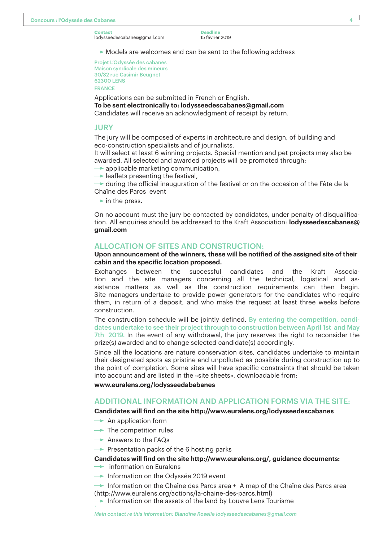**Deadline** 15 février 2019

 $\rightarrow$  Models are welcomes and can be sent to the following address

Projet L'Odyssée des cabanes Maison syndicale des mineurs 30/32 rue Casimir Beugnet 62300 LENS FRANCE

Applications can be submitted in French or English. **To be sent electronically to: lodysseedescabanes@gmail.com** Candidates will receive an acknowledgment of receipt by return.

#### JURY

The jury will be composed of experts in architecture and design, of building and eco-construction specialists and of journalists.

It will select at least 6 winning projects. Special mention and pet projects may also be awarded. All selected and awarded projects will be promoted through:

- $\rightarrow$  applicable marketing communication,
- $\rightarrow$  leaflets presenting the festival,

 $\rightarrow$  during the official inauguration of the festival or on the occasion of the Fête de la Chaîne des Parcs event

 $\rightarrow$  in the press.

On no account must the jury be contacted by candidates, under penalty of disqualification. All enquiries should be addressed to the Kraft Association: **lodysseedescabanes@ gmail.com**

## ALLOCATION OF SITES AND CONSTRUCTION:

#### **Upon announcement of the winners, these will be notified of the assigned site of their cabin and the specific location proposed.**

Exchanges between the successful candidates and the Kraft Association and the site managers concerning all the technical, logistical and assistance matters as well as the construction requirements can then begin. Site managers undertake to provide power generators for the candidates who require them, in return of a deposit, and who make the request at least three weeks before construction.

The construction schedule will be jointly defined. By entering the competition, candidates undertake to see their project through to construction between April 1st and May 7th 2019. In the event of any withdrawal, the jury reserves the right to reconsider the prize(s) awarded and to change selected candidate(s) accordingly.

Since all the locations are nature conservation sites, candidates undertake to maintain their designated spots as pristine and unpolluted as possible during construction up to the point of completion. Some sites will have specific constraints that should be taken into account and are listed in the «site sheets», downloadable from:

**www.euralens.org/lodysseedababanes**

## ADDITIONAL INFORMATION AND APPLICATION FORMS VIA THE SITE:

#### **Candidates will find on the site http://www.euralens.org/lodysseedescabanes**

- $\rightarrow$  An application form
- $\rightarrow$  The competition rules
- $\rightarrow$  Answers to the FAQs

*`*

 $\rightarrow$  Presentation packs of the 6 hosting parks

#### **Candidates will find on the site http://www.euralens.org/, guidance documents:**

- $\rightarrow$  information on Euralens
- $\rightarrow$  Information on the Odyssée 2019 event

 $\rightarrow$  Information on the Chaîne des Parcs area + A map of the Chaîne des Parcs area (http://www.euralens.org/actions/la-chaine-des-parcs.html)

 $\blacktriangleright$  Information on the assets of the land by Louvre Lens Tourisme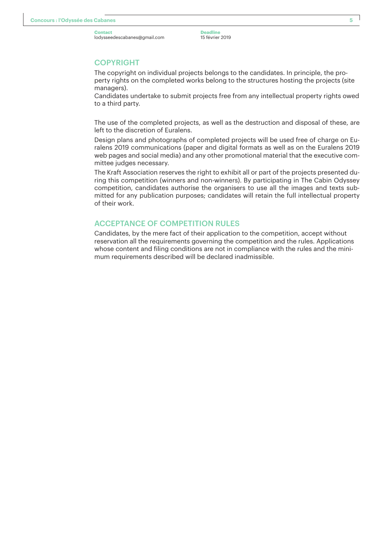**Deadline** 15 février 2019

## COPYRIGHT

The copyright on individual projects belongs to the candidates. In principle, the property rights on the completed works belong to the structures hosting the projects (site managers).

Candidates undertake to submit projects free from any intellectual property rights owed to a third party.

The use of the completed projects, as well as the destruction and disposal of these, are left to the discretion of Euralens.

Design plans and photographs of completed projects will be used free of charge on Euralens 2019 communications (paper and digital formats as well as on the Euralens 2019 web pages and social media) and any other promotional material that the executive committee judges necessary.

The Kraft Association reserves the right to exhibit all or part of the projects presented during this competition (winners and non-winners). By participating in The Cabin Odyssey competition, candidates authorise the organisers to use all the images and texts submitted for any publication purposes; candidates will retain the full intellectual property of their work.

## ACCEPTANCE OF COMPETITION RULES

Candidates, by the mere fact of their application to the competition, accept without reservation all the requirements governing the competition and the rules. Applications whose content and filing conditions are not in compliance with the rules and the minimum requirements described will be declared inadmissible.